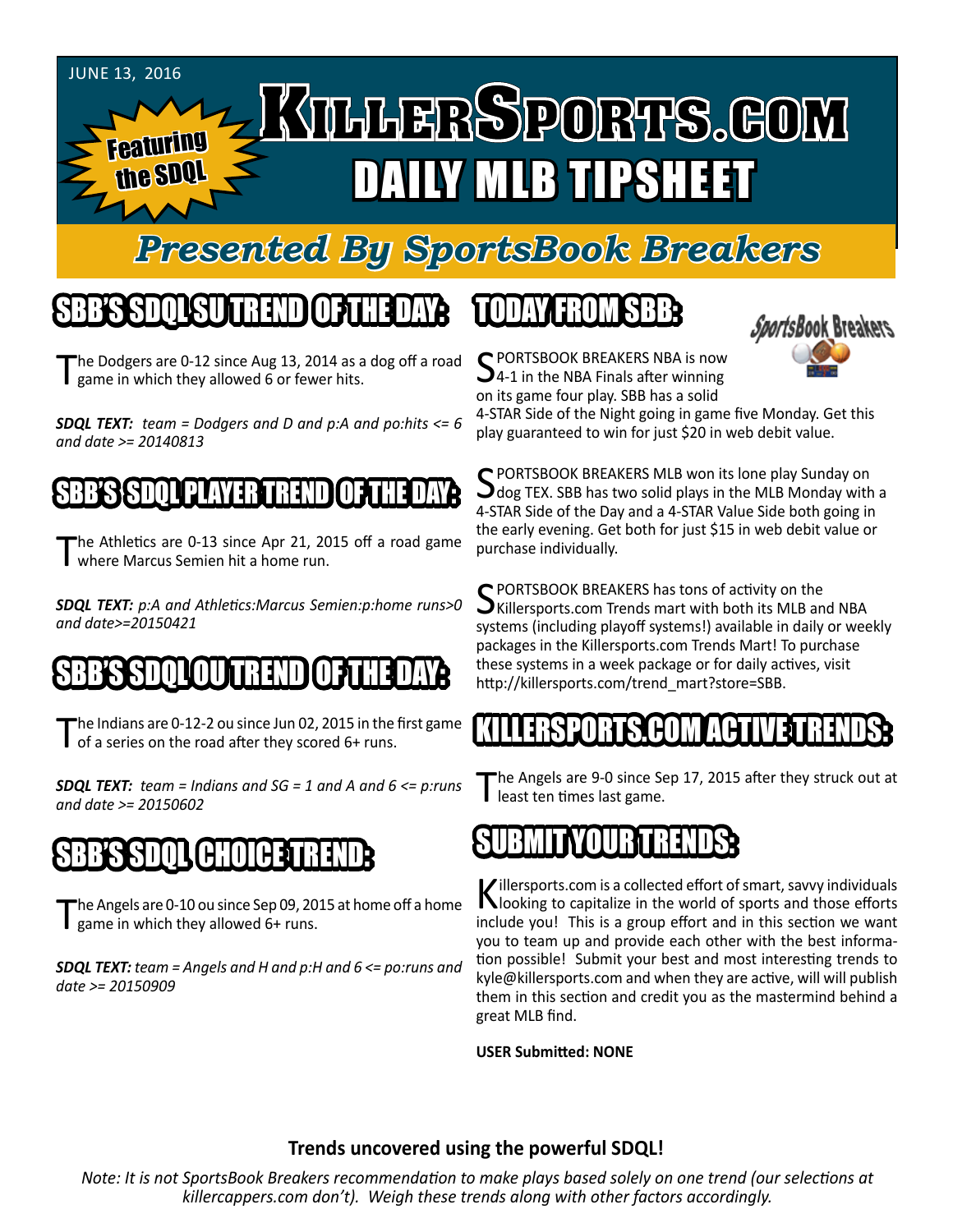#### June 13, 2016

**Featuring** 

the SDQL

# KTLLERSPORTS.GOM DAILY MLB TIPSHEET

### *Presented By SportsBook Breakers*

#### SBB'S SDQL SU TREND OF THE DAY:

he Dodgers are 0-12 since Aug 13, 2014 as a dog off a road game in which they allowed 6 or fewer hits.

*SDQL TEXT: team = Dodgers and D and p:A and po:hits <= 6 and date >= 20140813*

#### SSSSDOL PLAYER TREN

The Athletics are 0-13 since Apr 21, 2015 off a road game where Marcus Semien hit a home run.

*SDQL TEXT: p:A and Athletics:Marcus Semien:p:home runs>0 and date>=20150421*

## SBB'S SDQL OU TREND OF THE DAY:

The Indians are 0-12-2 ou since Jun 02, 2015 in the first game of a series on the road after they scored 6+ runs.

*SDQL TEXT: team = Indians and SG = 1 and A and 6 <= p:runs and date >= 20150602*

#### SBB'S SDQL CHOICE TREND

The Angels are 0-10 ou since Sep 09, 2015 at home off a home game in which they allowed  $6+$  runs.

*SDQL TEXT: team = Angels and H and p:H and 6 <= po:runs and date >= 20150909*

### TODAY HAOMSBB



C PORTSBOOK BREAKERS NBA is now 4-1 in the NBA Finals after winning on its game four play. SBB has a solid

4-STAR Side of the Night going in game five Monday. Get this play guaranteed to win for just \$20 in web debit value.

SPORTSBOOK BREAKERS MLB won its lone play Sunday on<br>dog TEX. SBB has two solid plays in the MLB Monday with a 4-STAR Side of the Day and a 4-STAR Value Side both going in the early evening. Get both for just \$15 in web debit value or purchase individually.

SPORTSBOOK BREAKERS has tons of activity on the<br>SKillersports.com Trends mart with both its MLB and NBA systems (including playoff systems!) available in daily or weekly packages in the Killersports.com Trends Mart! To purchase these systems in a week package or for daily actives, visit http://killersports.com/trend\_mart?store=SBB.

#### KILLERSPORTS.COM ACTIVE TRENDS:

he Angels are 9-0 since Sep 17, 2015 after they struck out at least ten times last game.

### SUBMIT YOUR TRENDS:

Killersports.com is a collected effort of smart, savvy individuals<br>Nooking to capitalize in the world of sports and those efforts include you! This is a group effort and in this section we want you to team up and provide each other with the best information possible! Submit your best and most interesting trends to kyle@killersports.com and when they are active, will will publish them in this section and credit you as the mastermind behind a great MLB find.

**USER Submitted: NONE**

#### **Trends uncovered using the powerful SDQL!**

*Note: It is not SportsBook Breakers recommendation to make plays based solely on one trend (our selections at killercappers.com don't). Weigh these trends along with other factors accordingly.*